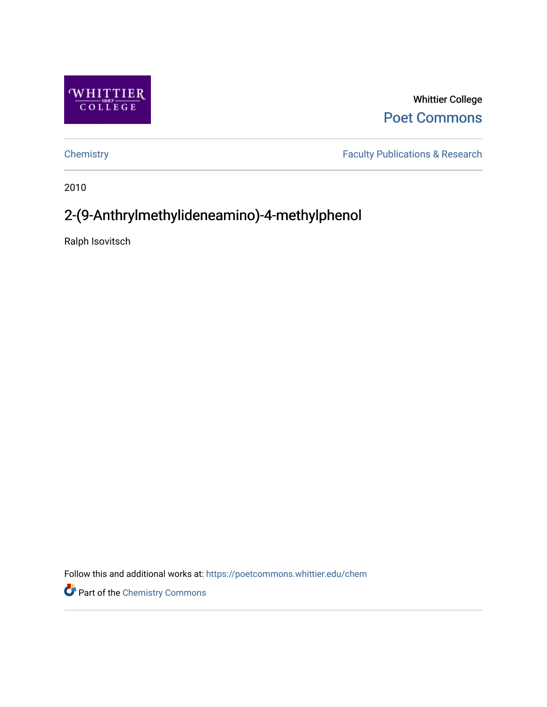

Whittier College [Poet Commons](https://poetcommons.whittier.edu/) 

[Chemistry](https://poetcommons.whittier.edu/chem) **Faculty Publications & Research** 

2010

# 2-(9-Anthrylmethylideneamino)-4-methylphenol

Ralph Isovitsch

Follow this and additional works at: [https://poetcommons.whittier.edu/chem](https://poetcommons.whittier.edu/chem?utm_source=poetcommons.whittier.edu%2Fchem%2F10&utm_medium=PDF&utm_campaign=PDFCoverPages)

Part of the [Chemistry Commons](http://network.bepress.com/hgg/discipline/131?utm_source=poetcommons.whittier.edu%2Fchem%2F10&utm_medium=PDF&utm_campaign=PDFCoverPages)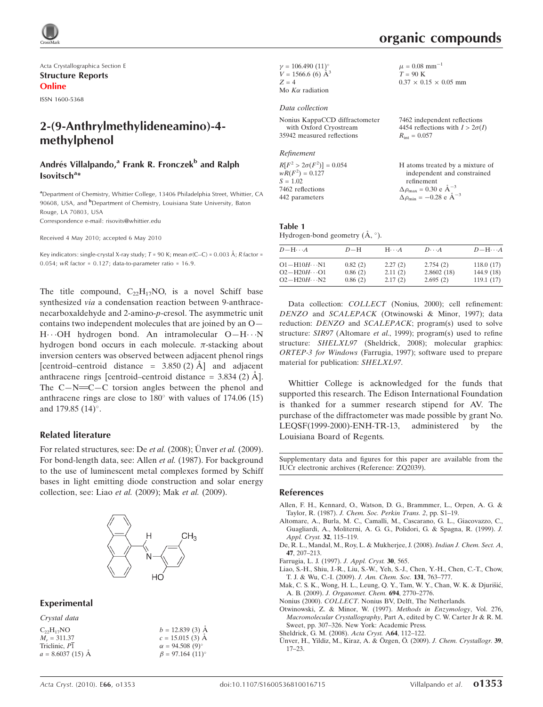Acta Crystallographica Section E Structure Reports Online

ISSN 1600-5368

# 2-(9-Anthrylmethylideneamino)-4 methylphenol

# Andrés Villalpando,<sup>a</sup> Frank R. Fronczek<sup>b</sup> and Ralph Isovitsch<sup>a\*</sup>

<sup>a</sup>Department of Chemistry, Whittier College, 13406 Philadelphia Street, Whittier, CA 90608, USA, and <sup>b</sup>Department of Chemistry, Louisiana State University, Baton Rouge, LA 70803, USA Correspondence e-mail: risovits@whittier.edu

Received 4 May 2010; accepted 6 May 2010

Key indicators: single-crystal X-ray study; T = 90 K; mean  $\sigma$ (C–C) = 0.003 Å; R factor = 0.054; wR factor =  $0.127$ ; data-to-parameter ratio =  $16.9$ .

The title compound,  $C_{22}H_{17}NO$ , is a novel Schiff base synthesized via a condensation reaction between 9-anthracenecarboxaldehyde and 2-amino-p-cresol. The asymmetric unit contains two independent molecules that are joined by an O— H··· OH hydrogen bond. An intramolecular O-H··· N hydrogen bond occurs in each molecule.  $\pi$ -stacking about inversion centers was observed between adjacent phenol rings [centroid–centroid distance =  $3.850(2)$  Å] and adjacent anthracene rings [centroid–centroid distance  $= 3.834$  (2)  $\AA$ ]. The  $C-N=C-C$  torsion angles between the phenol and anthracene rings are close to  $180^\circ$  with values of  $174.06$  (15) and 179.85  $(14)^\circ$ .

### Related literature

For related structures, see: De *et al.* (2008); Unver *et al.* (2009). For bond-length data, see: Allen et al. (1987). For background to the use of luminescent metal complexes formed by Schiff bases in light emitting diode construction and solar energy collection, see: Liao et al. (2009); Mak et al. (2009).



## Experimental

| Crystal data       |                         |
|--------------------|-------------------------|
| $C_{22}H_{17}NO$   | $b = 12.839(3)$ Å       |
| $M_r = 311.37$     | $c = 15.015$ (3) $\AA$  |
| Triclinic, P1      | $\alpha = 94.508(9)$ °  |
| $a = 8.6037(15)$ Å | $\beta = 97.164~(11)$ ° |

| $\gamma = 106.490 (11)$ °<br>$V = 1566.6 (6) \text{ Å}^3$ |
|-----------------------------------------------------------|
|                                                           |
| $Z = 4$                                                   |
| Mo $K\alpha$ radiation                                    |

#### Data collection

| Nonius KappaCCD diffractometer | 7462 independent reflections           |
|--------------------------------|----------------------------------------|
| with Oxford Cryostream         | 4454 reflections with $I > 2\sigma(I)$ |
| 35942 measured reflections     | $R_{\rm int} = 0.057$                  |
|                                |                                        |

# Refinement

 $R[F^2 > 2\sigma(F^2)] = 0.054$ <br>  $wR(F^2) = 0.127$  $S = 1.02$ 7462 reflections 442 parameters H atoms treated by a mixture of independent and constrained refinement  $\Delta \rho_{\text{max}} = 0.30 \text{ e A}^{-3}$  $\Delta \rho_{\rm min} = -0.28 \text{ e } \text{\AA}^{-3}$ 

#### Table 1 Hydrogen-bond geometry  $(\mathring{A}, \degree)$ .

| $D - H \cdots A$                               | $D-H$              | $H\cdot\cdot\cdot A$ | $D\cdots A$            | $D$ -H $\cdots$ A       |
|------------------------------------------------|--------------------|----------------------|------------------------|-------------------------|
| $O1 - H10H \cdots N1$<br>$O2 - H20H \cdots O1$ | 0.82(2)<br>0.86(2) | 2.27(2)<br>2.11(2)   | 2.754(2)<br>2.8602(18) | 118.0(17)<br>144.9 (18) |
| $O2 - H20H \cdot \cdot \cdot N2$               | 0.86(2)            | 2.17(2)              | 2.695(2)               | 119.1(17)               |

Data collection: COLLECT (Nonius, 2000); cell refinement: DENZO and SCALEPACK (Otwinowski & Minor, 1997); data reduction: DENZO and SCALEPACK; program(s) used to solve structure: SIR97 (Altomare et al., 1999); program(s) used to refine structure: SHELXL97 (Sheldrick, 2008); molecular graphics: ORTEP-3 for Windows (Farrugia, 1997); software used to prepare material for publication: SHELXL97.

Whittier College is acknowledged for the funds that supported this research. The Edison International Foundation is thanked for a summer research stipend for AV. The purchase of the diffractometer was made possible by grant No. LEQSF(1999-2000)-ENH-TR-13, administered by the Louisiana Board of Regents.

Supplementary data and figures for this paper are available from the IUCr electronic archives (Reference: ZQ2039).

#### References

- [Allen, F. H., Kennard, O., Watson, D. G., Brammmer, L., Orpen, A. G. &](https://scripts.iucr.org/cgi-bin/cr.cgi?rm=pdfbb&cnor=zq2039&bbid=BB1) Taylor, R. (1987). [J. Chem. Soc. Perkin Trans. 2](https://scripts.iucr.org/cgi-bin/cr.cgi?rm=pdfbb&cnor=zq2039&bbid=BB1), pp. S1–19.
- [Altomare, A., Burla, M. C., Camalli, M., Cascarano, G. L., Giacovazzo, C.,](https://scripts.iucr.org/cgi-bin/cr.cgi?rm=pdfbb&cnor=zq2039&bbid=BB2) [Guagliardi, A., Moliterni, A. G. G., Polidori, G. & Spagna, R. \(1999\).](https://scripts.iucr.org/cgi-bin/cr.cgi?rm=pdfbb&cnor=zq2039&bbid=BB2) J. [Appl. Cryst.](https://scripts.iucr.org/cgi-bin/cr.cgi?rm=pdfbb&cnor=zq2039&bbid=BB2) 32, 115–119.
- [De, R. L., Mandal, M., Roy, L. & Mukherjee, J. \(2008\).](https://scripts.iucr.org/cgi-bin/cr.cgi?rm=pdfbb&cnor=zq2039&bbid=BB3) Indian J. Chem. Sect. A, 47[, 207–213.](https://scripts.iucr.org/cgi-bin/cr.cgi?rm=pdfbb&cnor=zq2039&bbid=BB3)
- [Farrugia, L. J. \(1997\).](https://scripts.iucr.org/cgi-bin/cr.cgi?rm=pdfbb&cnor=zq2039&bbid=BB4) J. Appl. Cryst. 30, 565.
- [Liao, S.-H., Shiu, J.-R., Liu, S.-W., Yeh, S.-J., Chen, Y.-H., Chen, C.-T., Chow,](https://scripts.iucr.org/cgi-bin/cr.cgi?rm=pdfbb&cnor=zq2039&bbid=BB5) [T. J. & Wu, C.-I. \(2009\).](https://scripts.iucr.org/cgi-bin/cr.cgi?rm=pdfbb&cnor=zq2039&bbid=BB5) J. Am. Chem. Soc. 131, 763–777.
- Mak, C. S. K., Wong, H. L., Leung, Q. Y., Tam, W. Y., Chan, W. K. & Djurišić, A. B. (2009). [J. Organomet. Chem.](https://scripts.iucr.org/cgi-bin/cr.cgi?rm=pdfbb&cnor=zq2039&bbid=BB6) 694, 2770–2776.
- Nonius (2000). COLLECT[. Nonius BV, Delft, The Netherlands.](https://scripts.iucr.org/cgi-bin/cr.cgi?rm=pdfbb&cnor=zq2039&bbid=BB7)

[Otwinowski, Z. & Minor, W. \(1997\).](https://scripts.iucr.org/cgi-bin/cr.cgi?rm=pdfbb&cnor=zq2039&bbid=BB8) Methods in Enzymology, Vol. 276, Macromolecular Crystallography[, Part A, edited by C. W. Carter Jr & R. M.](https://scripts.iucr.org/cgi-bin/cr.cgi?rm=pdfbb&cnor=zq2039&bbid=BB8) [Sweet, pp. 307–326. New York: Academic Press.](https://scripts.iucr.org/cgi-bin/cr.cgi?rm=pdfbb&cnor=zq2039&bbid=BB8)

- [Sheldrick, G. M. \(2008\).](https://scripts.iucr.org/cgi-bin/cr.cgi?rm=pdfbb&cnor=zq2039&bbid=BB9) Acta Cryst. A64, 112–122.
- Ünver, H., Yildiz, M., Kiraz, A. & Özgen, Ö. (2009). J. Chem. Crystallogr. 39, [17–23.](https://scripts.iucr.org/cgi-bin/cr.cgi?rm=pdfbb&cnor=zq2039&bbid=BB10)

 $\mu = 0.08$  mm<sup>-1</sup>  $T = 90$  K

 $0.37 \times 0.15 \times 0.05$  mm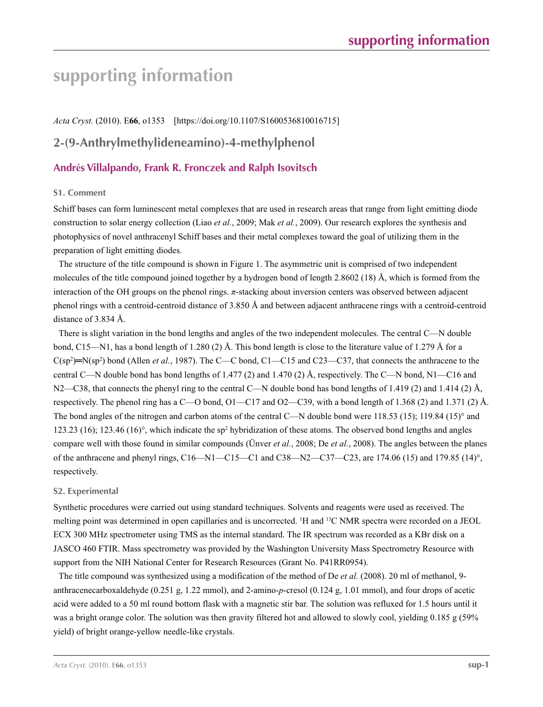# **supporting information**

*Acta Cryst.* (2010). E**66**, o1353 [https://doi.org/10.1107/S1600536810016715]

# **2-(9-Anthrylmethylideneamino)-4-methylphenol**

# **Andrés Villalpando, Frank R. Fronczek and Ralph Isovitsch**

## **S1. Comment**

Schiff bases can form luminescent metal complexes that are used in research areas that range from light emitting diode construction to solar energy collection (Liao *et al.*, 2009; Mak *et al.*, 2009). Our research explores the synthesis and photophysics of novel anthracenyl Schiff bases and their metal complexes toward the goal of utilizing them in the preparation of light emitting diodes.

The structure of the title compound is shown in Figure 1. The asymmetric unit is comprised of two independent molecules of the title compound joined together by a hydrogen bond of length 2.8602 (18) Å, which is formed from the interaction of the OH groups on the phenol rings. *π*-stacking about inversion centers was observed between adjacent phenol rings with a centroid-centroid distance of 3.850 Å and between adjacent anthracene rings with a centroid-centroid distance of 3.834 Å.

There is slight variation in the bond lengths and angles of the two independent molecules. The central C—N double bond, C15—N1, has a bond length of 1.280 (2) Å. This bond length is close to the literature value of 1.279 Å for a  $C(sp^2)$ =N(sp<sup>2</sup>) bond (Allen *et al.*, 1987). The C—C bond, C1—C15 and C23—C37, that connects the anthracene to the central C—N double bond has bond lengths of 1.477 (2) and 1.470 (2) Å, respectively. The C—N bond, N1—C16 and N2—C38, that connects the phenyl ring to the central C—N double bond has bond lengths of 1.419 (2) and 1.414 (2) Å, respectively. The phenol ring has a  $C$ —O bond,  $O1$ —C17 and  $O2$ —C39, with a bond length of 1.368 (2) and 1.371 (2) Å. The bond angles of the nitrogen and carbon atoms of the central C—N double bond were 118.53 (15); 119.84 (15)° and 123.23 (16); 123.46 (16)°, which indicate the sp<sup>2</sup> hybridization of these atoms. The observed bond lengths and angles compare well with those found in similar compounds (Ünver *et al.*, 2008; De *et al.*, 2008). The angles between the planes of the anthracene and phenyl rings, C16—N1—C15—C1 and C38—N2—C37—C23, are 174.06 (15) and 179.85 (14)°, respectively.

## **S2. Experimental**

Synthetic procedures were carried out using standard techniques. Solvents and reagents were used as received. The melting point was determined in open capillaries and is uncorrected. <sup>1</sup>H and <sup>13</sup>C NMR spectra were recorded on a JEOL ECX 300 MHz spectrometer using TMS as the internal standard. The IR spectrum was recorded as a KBr disk on a JASCO 460 FTIR. Mass spectrometry was provided by the Washington University Mass Spectrometry Resource with support from the NIH National Center for Research Resources (Grant No. P41RR0954).

The title compound was synthesized using a modification of the method of De *et al.* (2008). 20 ml of methanol, 9 anthracenecarboxaldehyde (0.251 g, 1.22 mmol), and 2-amino-*p*-cresol (0.124 g, 1.01 mmol), and four drops of acetic acid were added to a 50 ml round bottom flask with a magnetic stir bar. The solution was refluxed for 1.5 hours until it was a bright orange color. The solution was then gravity filtered hot and allowed to slowly cool, yielding 0.185 g (59%) yield) of bright orange-yellow needle-like crystals.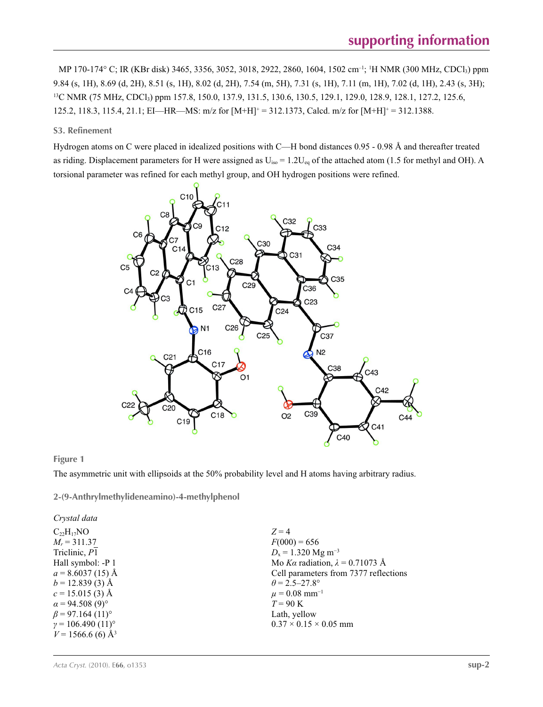MP 170-174° C; IR (KBr disk) 3465, 3356, 3052, 3018, 2922, 2860, 1604, 1502 cm–1; 1 H NMR (300 MHz, CDCl3) ppm 9.84 (s, 1H), 8.69 (d, 2H), 8.51 (s, 1H), 8.02 (d, 2H), 7.54 (m, 5H), 7.31 (s, 1H), 7.11 (m, 1H), 7.02 (d, 1H), 2.43 (s, 3H); <sup>13</sup>C NMR (75 MHz, CDCl<sub>3</sub>) ppm 157.8, 150.0, 137.9, 131.5, 130.6, 130.5, 129.1, 129.0, 128.9, 128.1, 127.2, 125.6, 125.2, 118.3, 115.4, 21.1; EI—HR—MS: m/z for  $[M+H]^+$  = 312.1373, Calcd. m/z for  $[M+H]^+$  = 312.1388.

## **S3. Refinement**

Hydrogen atoms on C were placed in idealized positions with C—H bond distances 0.95 - 0.98 Å and thereafter treated as riding. Displacement parameters for H were assigned as  $U_{iso} = 1.2U_{eq}$  of the attached atom (1.5 for methyl and OH). A torsional parameter was refined for each methyl group, and OH hydrogen positions were refined.



### **Figure 1**

The asymmetric unit with ellipsoids at the 50% probability level and H atoms having arbitrary radius.

**2-(9-Anthrylmethylideneamino)-4-methylphenol** 

*Crystal data*  $C_{22}H_{17}NO$  $M_r = 311.37$ Triclinic, *P*1 Hall symbol: -P 1  $a = 8.6037(15)$  Å  $b = 12.839(3)$  Å  $c = 15.015(3)$  Å  $\alpha$  = 94.508 (9)<sup>°</sup>  $\beta$  = 97.164 (11)<sup>o</sup>  $γ = 106.490(11)°$  $V = 1566.6$  (6) Å<sup>3</sup>

 $Z = 4$  $F(000) = 656$  $D_x = 1.320$  Mg m<sup>-3</sup> Mo *Kα* radiation,  $\lambda = 0.71073$  Å Cell parameters from 7377 reflections  $\theta$  = 2.5–27.8°  $\mu = 0.08$  mm<sup>-1</sup>  $T = 90 K$ Lath, yellow  $0.37 \times 0.15 \times 0.05$  mm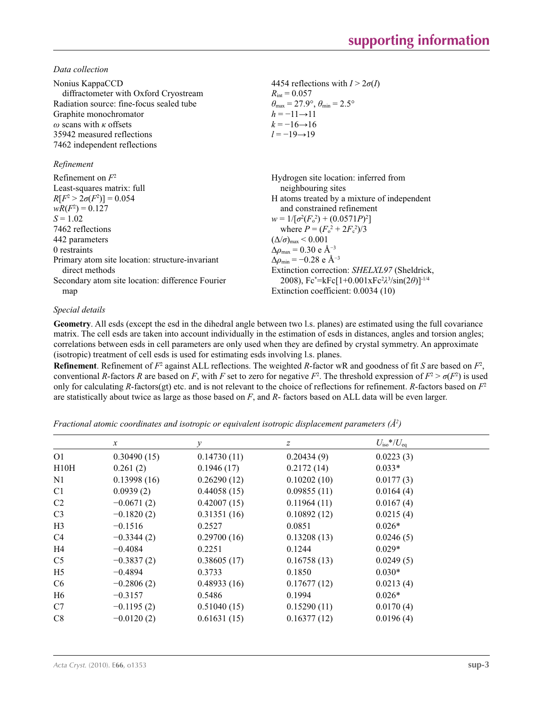*Data collection*

| Nonius KappaCCD<br>diffractometer with Oxford Cryostream<br>Radiation source: fine-focus sealed tube<br>Graphite monochromator<br>$\omega$ scans with $\kappa$ offsets<br>35942 measured reflections<br>7462 independent reflections                                                                          | 4454 reflections with $I > 2\sigma(I)$<br>$R_{\rm int} = 0.057$<br>$\theta_{\text{max}} = 27.9^{\circ}, \theta_{\text{min}} = 2.5^{\circ}$<br>$h = -11 \rightarrow 11$<br>$k = -16 \rightarrow 16$<br>$l = -19 \rightarrow 19$                                                                                                                                                                                                                                                                                                    |
|---------------------------------------------------------------------------------------------------------------------------------------------------------------------------------------------------------------------------------------------------------------------------------------------------------------|-----------------------------------------------------------------------------------------------------------------------------------------------------------------------------------------------------------------------------------------------------------------------------------------------------------------------------------------------------------------------------------------------------------------------------------------------------------------------------------------------------------------------------------|
| Refinement                                                                                                                                                                                                                                                                                                    |                                                                                                                                                                                                                                                                                                                                                                                                                                                                                                                                   |
| Refinement on $F^2$<br>Least-squares matrix: full<br>$R[F^2 > 2\sigma(F^2)] = 0.054$<br>$wR(F^2) = 0.127$<br>$S = 1.02$<br>7462 reflections<br>442 parameters<br>0 restraints<br>Primary atom site location: structure-invariant<br>direct methods<br>Secondary atom site location: difference Fourier<br>map | Hydrogen site location: inferred from<br>neighbouring sites<br>H atoms treated by a mixture of independent<br>and constrained refinement<br>$w = 1/[\sigma^2(F_0^2) + (0.0571P)^2]$<br>where $P = (F_0^2 + 2F_c^2)/3$<br>$(\Delta/\sigma)_{\text{max}}$ < 0.001<br>$\Delta\rho_{\text{max}}$ = 0.30 e Å <sup>-3</sup><br>$\Delta\rho_{\rm min} = -0.28$ e Å <sup>-3</sup><br>Extinction correction: SHELXL97 (Sheldrick,<br>2008), $Fc^* = kFc[1+0.001xFc^2\lambda^3/sin(2\theta)]^{-1/4}$<br>Extinction coefficient: 0.0034 (10) |

# *Special details*

**Geometry**. All esds (except the esd in the dihedral angle between two l.s. planes) are estimated using the full covariance matrix. The cell esds are taken into account individually in the estimation of esds in distances, angles and torsion angles; correlations between esds in cell parameters are only used when they are defined by crystal symmetry. An approximate (isotropic) treatment of cell esds is used for estimating esds involving l.s. planes.

**Refinement**. Refinement of  $F^2$  against ALL reflections. The weighted R-factor wR and goodness of fit *S* are based on  $F^2$ , conventional *R*-factors *R* are based on *F*, with *F* set to zero for negative  $F^2$ . The threshold expression of  $F^2 > \sigma(F^2)$  is used only for calculating *R*-factors(gt) etc. and is not relevant to the choice of reflections for refinement. *R*-factors based on *F*<sup>2</sup> are statistically about twice as large as those based on *F*, and *R*- factors based on ALL data will be even larger.

*Fractional atomic coordinates and isotropic or equivalent isotropic displacement parameters (Å2 )*

|                | $\mathcal{X}$ | ν           | $\boldsymbol{Z}$ | $U_{\rm iso}*/U_{\rm eq}$ |  |
|----------------|---------------|-------------|------------------|---------------------------|--|
| 01             | 0.30490(15)   | 0.14730(11) | 0.20434(9)       | 0.0223(3)                 |  |
| H10H           | 0.261(2)      | 0.1946(17)  | 0.2172(14)       | $0.033*$                  |  |
| N1             | 0.13998(16)   | 0.26290(12) | 0.10202(10)      | 0.0177(3)                 |  |
| C <sub>1</sub> | 0.0939(2)     | 0.44058(15) | 0.09855(11)      | 0.0164(4)                 |  |
| C <sub>2</sub> | $-0.0671(2)$  | 0.42007(15) | 0.11964(11)      | 0.0167(4)                 |  |
| C <sub>3</sub> | $-0.1820(2)$  | 0.31351(16) | 0.10892(12)      | 0.0215(4)                 |  |
| H <sub>3</sub> | $-0.1516$     | 0.2527      | 0.0851           | $0.026*$                  |  |
| C4             | $-0.3344(2)$  | 0.29700(16) | 0.13208(13)      | 0.0246(5)                 |  |
| H4             | $-0.4084$     | 0.2251      | 0.1244           | $0.029*$                  |  |
| C <sub>5</sub> | $-0.3837(2)$  | 0.38605(17) | 0.16758(13)      | 0.0249(5)                 |  |
| H <sub>5</sub> | $-0.4894$     | 0.3733      | 0.1850           | $0.030*$                  |  |
| C <sub>6</sub> | $-0.2806(2)$  | 0.48933(16) | 0.17677(12)      | 0.0213(4)                 |  |
| H <sub>6</sub> | $-0.3157$     | 0.5486      | 0.1994           | $0.026*$                  |  |
| C7             | $-0.1195(2)$  | 0.51040(15) | 0.15290(11)      | 0.0170(4)                 |  |
| C8             | $-0.0120(2)$  | 0.61631(15) | 0.16377(12)      | 0.0196(4)                 |  |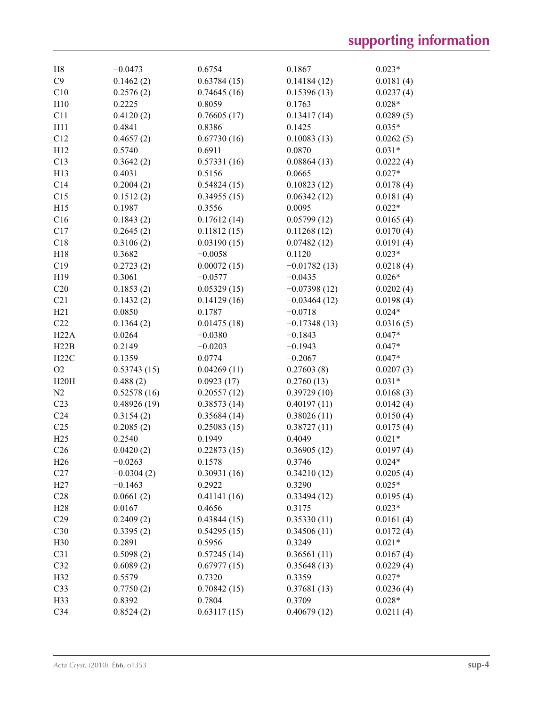| H <sub>8</sub>  | $-0.0473$              | 0.6754                     | 0.1867                     | $0.023*$  |
|-----------------|------------------------|----------------------------|----------------------------|-----------|
| C9              | 0.1462(2)              | 0.63784(15)                | 0.14184(12)                | 0.0181(4) |
| C10             | 0.2576(2)              | 0.74645(16)                | 0.15396(13)                | 0.0237(4) |
| H10             | 0.2225                 | 0.8059                     | 0.1763                     | $0.028*$  |
| C11             | 0.4120(2)              | 0.76605(17)                | 0.13417(14)                | 0.0289(5) |
| H11             | 0.4841                 | 0.8386                     | 0.1425                     | $0.035*$  |
| C12             | 0.4657(2)              | 0.67730(16)                | 0.10083(13)                | 0.0262(5) |
| H12             | 0.5740                 | 0.6911                     | 0.0870                     | $0.031*$  |
| C13             | 0.3642(2)              | 0.57331(16)                | 0.08864(13)                | 0.0222(4) |
| H13             | 0.4031                 | 0.5156                     | 0.0665                     | $0.027*$  |
| C14             | 0.2004(2)              | 0.54824(15)                | 0.10823(12)                | 0.0178(4) |
| C15             | 0.1512(2)              | 0.34955(15)                | 0.06342(12)                | 0.0181(4) |
| H15             | 0.1987                 | 0.3556                     | 0.0095                     | $0.022*$  |
| C16             | 0.1843(2)              | 0.17612(14)                | 0.05799(12)                | 0.0165(4) |
| C17             | 0.2645(2)              | 0.11812(15)                | 0.11268(12)                | 0.0170(4) |
| C18             | 0.3106(2)              | 0.03190(15)                | 0.07482(12)                | 0.0191(4) |
|                 | 0.3682                 | $-0.0058$                  | 0.1120                     |           |
| H18             |                        |                            |                            | $0.023*$  |
| C19             | 0.2723(2)              | 0.00072(15)                | $-0.01782(13)$             | 0.0218(4) |
| H19             | 0.3061                 | $-0.0577$                  | $-0.0435$                  | $0.026*$  |
| C20             | 0.1853(2)              | 0.05329(15)                | $-0.07398(12)$             | 0.0202(4) |
| C21             | 0.1432(2)              | 0.14129(16)                | $-0.03464(12)$             | 0.0198(4) |
| H21             | 0.0850                 | 0.1787                     | $-0.0718$                  | $0.024*$  |
| C22             | 0.1364(2)              | 0.01475(18)                | $-0.17348(13)$             | 0.0316(5) |
| H22A            | 0.0264                 | $-0.0380$                  | $-0.1843$                  | $0.047*$  |
| H22B            | 0.2149                 | $-0.0203$                  | $-0.1943$                  | $0.047*$  |
| H22C            | 0.1359                 | 0.0774                     | $-0.2067$                  | $0.047*$  |
| O2              | 0.53743(15)            | 0.04269(11)                | 0.27603(8)                 | 0.0207(3) |
| H20H            | 0.488(2)               | 0.0923(17)                 | 0.2760(13)                 | $0.031*$  |
| N2              | 0.52578(16)            | 0.20557(12)                | 0.39729(10)                | 0.0168(3) |
| C <sub>23</sub> | 0.48926(19)            | 0.38573(14)                | 0.40197(11)                | 0.0142(4) |
| C <sub>24</sub> | 0.3154(2)              | 0.35684(14)                | 0.38026(11)                | 0.0150(4) |
| C <sub>25</sub> | 0.2085(2)              | 0.25083(15)                | 0.38727(11)                | 0.0175(4) |
| H25             | 0.2540                 | 0.1949                     | 0.4049                     | $0.021*$  |
| C <sub>26</sub> | 0.0420(2)              | 0.22873(15)                | 0.36905(12)                | 0.0197(4) |
| H <sub>26</sub> | $-0.0263$              | 0.1578                     | 0.3746                     | $0.024*$  |
| C27             | $-0.0304(2)$           | 0.30931(16)                | 0.34210(12)                | 0.0205(4) |
| H27             | $-0.1463$              | 0.2922                     | 0.3290                     | $0.025*$  |
| C28             | 0.0661(2)              | 0.41141(16)                | 0.33494(12)                | 0.0195(4) |
| H28             | 0.0167                 | 0.4656                     | 0.3175                     | $0.023*$  |
| C29             | 0.2409(2)              | 0.43844(15)                | 0.35330(11)                | 0.0161(4) |
| C30             | 0.3395(2)              | 0.54295(15)                | 0.34506(11)                | 0.0172(4) |
| H30             | 0.2891                 | 0.5956                     | 0.3249                     | $0.021*$  |
| C31             |                        |                            |                            |           |
| C32             | 0.5098(2)<br>0.6089(2) | 0.57245(14)<br>0.67977(15) | 0.36561(11)<br>0.35648(13) | 0.0167(4) |
|                 |                        |                            |                            | 0.0229(4) |
| H32             | 0.5579                 | 0.7320                     | 0.3359                     | $0.027*$  |
| C33             | 0.7750(2)              | 0.70842(15)                | 0.37681(13)                | 0.0236(4) |
| H33             | 0.8392                 | 0.7804                     | 0.3709                     | $0.028*$  |
| C34             | 0.8524(2)              | 0.63117(15)                | 0.40679(12)                | 0.0211(4) |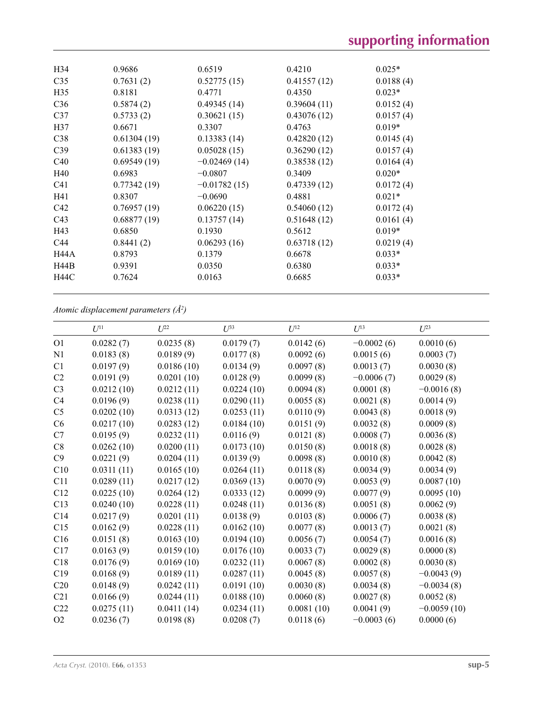| H34             | 0.9686      | 0.6519         | 0.4210      | $0.025*$  |
|-----------------|-------------|----------------|-------------|-----------|
| C <sub>35</sub> | 0.7631(2)   | 0.52775(15)    | 0.41557(12) | 0.0188(4) |
| H <sub>35</sub> | 0.8181      | 0.4771         | 0.4350      | $0.023*$  |
| C <sub>36</sub> | 0.5874(2)   | 0.49345(14)    | 0.39604(11) | 0.0152(4) |
| C <sub>37</sub> | 0.5733(2)   | 0.30621(15)    | 0.43076(12) | 0.0157(4) |
| H <sub>37</sub> | 0.6671      | 0.3307         | 0.4763      | $0.019*$  |
| C38             | 0.61304(19) | 0.13383(14)    | 0.42820(12) | 0.0145(4) |
| C <sub>39</sub> | 0.61383(19) | 0.05028(15)    | 0.36290(12) | 0.0157(4) |
| C40             | 0.69549(19) | $-0.02469(14)$ | 0.38538(12) | 0.0164(4) |
| H40             | 0.6983      | $-0.0807$      | 0.3409      | $0.020*$  |
| C <sub>41</sub> | 0.77342(19) | $-0.01782(15)$ | 0.47339(12) | 0.0172(4) |
| H41             | 0.8307      | $-0.0690$      | 0.4881      | $0.021*$  |
| C42             | 0.76957(19) | 0.06220(15)    | 0.54060(12) | 0.0172(4) |
| C <sub>43</sub> | 0.68877(19) | 0.13757(14)    | 0.51648(12) | 0.0161(4) |
| H43             | 0.6850      | 0.1930         | 0.5612      | $0.019*$  |
| C <sub>44</sub> | 0.8441(2)   | 0.06293(16)    | 0.63718(12) | 0.0219(4) |
| <b>H44A</b>     | 0.8793      | 0.1379         | 0.6678      | $0.033*$  |
| H44B            | 0.9391      | 0.0350         | 0.6380      | $0.033*$  |
| <b>H44C</b>     | 0.7624      | 0.0163         | 0.6685      | $0.033*$  |
|                 |             |                |             |           |

*Atomic displacement parameters (Å2 )*

|                | $U^{11}$   | $U^{22}$   | $U^{33}$   | $U^{12}$   | $U^{13}$     | $U^{23}$      |
|----------------|------------|------------|------------|------------|--------------|---------------|
| O <sub>1</sub> | 0.0282(7)  | 0.0235(8)  | 0.0179(7)  | 0.0142(6)  | $-0.0002(6)$ | 0.0010(6)     |
| N1             | 0.0183(8)  | 0.0189(9)  | 0.0177(8)  | 0.0092(6)  | 0.0015(6)    | 0.0003(7)     |
| C1             | 0.0197(9)  | 0.0186(10) | 0.0134(9)  | 0.0097(8)  | 0.0013(7)    | 0.0030(8)     |
| C <sub>2</sub> | 0.0191(9)  | 0.0201(10) | 0.0128(9)  | 0.0099(8)  | $-0.0006(7)$ | 0.0029(8)     |
| C <sub>3</sub> | 0.0212(10) | 0.0212(11) | 0.0224(10) | 0.0094(8)  | 0.0001(8)    | $-0.0016(8)$  |
| C4             | 0.0196(9)  | 0.0238(11) | 0.0290(11) | 0.0055(8)  | 0.0021(8)    | 0.0014(9)     |
| C <sub>5</sub> | 0.0202(10) | 0.0313(12) | 0.0253(11) | 0.0110(9)  | 0.0043(8)    | 0.0018(9)     |
| C6             | 0.0217(10) | 0.0283(12) | 0.0184(10) | 0.0151(9)  | 0.0032(8)    | 0.0009(8)     |
| C7             | 0.0195(9)  | 0.0232(11) | 0.0116(9)  | 0.0121(8)  | 0.0008(7)    | 0.0036(8)     |
| C8             | 0.0262(10) | 0.0200(11) | 0.0173(10) | 0.0150(8)  | 0.0018(8)    | 0.0028(8)     |
| C9             | 0.0221(9)  | 0.0204(11) | 0.0139(9)  | 0.0098(8)  | 0.0010(8)    | 0.0042(8)     |
| C10            | 0.0311(11) | 0.0165(10) | 0.0264(11) | 0.0118(8)  | 0.0034(9)    | 0.0034(9)     |
| C11            | 0.0289(11) | 0.0217(12) | 0.0369(13) | 0.0070(9)  | 0.0053(9)    | 0.0087(10)    |
| C12            | 0.0225(10) | 0.0264(12) | 0.0333(12) | 0.0099(9)  | 0.0077(9)    | 0.0095(10)    |
| C13            | 0.0240(10) | 0.0228(11) | 0.0248(11) | 0.0136(8)  | 0.0051(8)    | 0.0062(9)     |
| C14            | 0.0217(9)  | 0.0201(11) | 0.0138(9)  | 0.0103(8)  | 0.0006(7)    | 0.0038(8)     |
| C15            | 0.0162(9)  | 0.0228(11) | 0.0162(10) | 0.0077(8)  | 0.0013(7)    | 0.0021(8)     |
| C16            | 0.0151(8)  | 0.0163(10) | 0.0194(10) | 0.0056(7)  | 0.0054(7)    | 0.0016(8)     |
| C17            | 0.0163(9)  | 0.0159(10) | 0.0176(10) | 0.0033(7)  | 0.0029(8)    | 0.0000(8)     |
| C18            | 0.0176(9)  | 0.0169(10) | 0.0232(11) | 0.0067(8)  | 0.0002(8)    | 0.0030(8)     |
| C19            | 0.0168(9)  | 0.0189(11) | 0.0287(11) | 0.0045(8)  | 0.0057(8)    | $-0.0043(9)$  |
| C20            | 0.0148(9)  | 0.0242(11) | 0.0191(10) | 0.0030(8)  | 0.0034(8)    | $-0.0034(8)$  |
| C21            | 0.0166(9)  | 0.0244(11) | 0.0188(10) | 0.0060(8)  | 0.0027(8)    | 0.0052(8)     |
| C22            | 0.0275(11) | 0.0411(14) | 0.0234(11) | 0.0081(10) | 0.0041(9)    | $-0.0059(10)$ |
| O2             | 0.0236(7)  | 0.0198(8)  | 0.0208(7)  | 0.0118(6)  | $-0.0003(6)$ | 0.0000(6)     |
|                |            |            |            |            |              |               |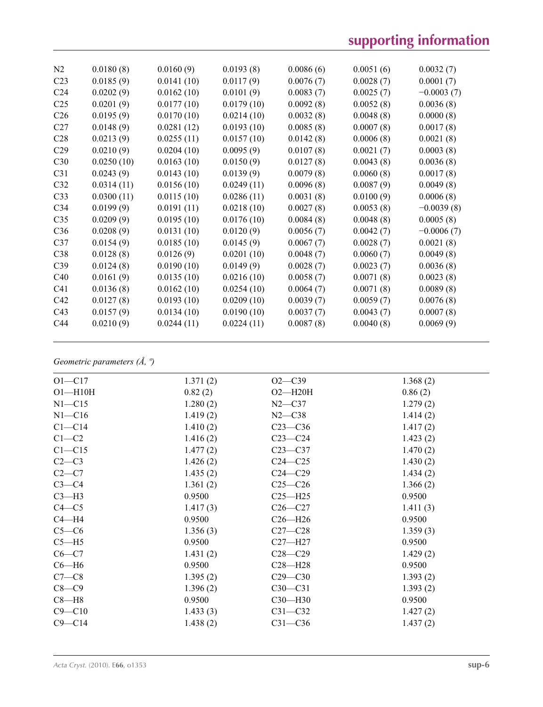# **supporting information**

| N2              | 0.0180(8)  | 0.0160(9)  | 0.0193(8)  | 0.0086(6) | 0.0051(6) | 0.0032(7)    |
|-----------------|------------|------------|------------|-----------|-----------|--------------|
| C <sub>23</sub> | 0.0185(9)  | 0.0141(10) | 0.0117(9)  | 0.0076(7) | 0.0028(7) | 0.0001(7)    |
| C <sub>24</sub> | 0.0202(9)  | 0.0162(10) | 0.0101(9)  | 0.0083(7) | 0.0025(7) | $-0.0003(7)$ |
| C <sub>25</sub> | 0.0201(9)  | 0.0177(10) | 0.0179(10) | 0.0092(8) | 0.0052(8) | 0.0036(8)    |
| C <sub>26</sub> | 0.0195(9)  | 0.0170(10) | 0.0214(10) | 0.0032(8) | 0.0048(8) | 0.0000(8)    |
| C27             | 0.0148(9)  | 0.0281(12) | 0.0193(10) | 0.0085(8) | 0.0007(8) | 0.0017(8)    |
| C28             | 0.0213(9)  | 0.0255(11) | 0.0157(10) | 0.0142(8) | 0.0006(8) | 0.0021(8)    |
| C29             | 0.0210(9)  | 0.0204(10) | 0.0095(9)  | 0.0107(8) | 0.0021(7) | 0.0003(8)    |
| C30             | 0.0250(10) | 0.0163(10) | 0.0150(9)  | 0.0127(8) | 0.0043(8) | 0.0036(8)    |
| C31             | 0.0243(9)  | 0.0143(10) | 0.0139(9)  | 0.0079(8) | 0.0060(8) | 0.0017(8)    |
| C32             | 0.0314(11) | 0.0156(10) | 0.0249(11) | 0.0096(8) | 0.0087(9) | 0.0049(8)    |
| C33             | 0.0300(11) | 0.0115(10) | 0.0286(11) | 0.0031(8) | 0.0100(9) | 0.0006(8)    |
| C <sub>34</sub> | 0.0199(9)  | 0.0191(11) | 0.0218(10) | 0.0027(8) | 0.0053(8) | $-0.0039(8)$ |
| C35             | 0.0209(9)  | 0.0195(10) | 0.0176(10) | 0.0084(8) | 0.0048(8) | 0.0005(8)    |
| C36             | 0.0208(9)  | 0.0131(10) | 0.0120(9)  | 0.0056(7) | 0.0042(7) | $-0.0006(7)$ |
| C37             | 0.0154(9)  | 0.0185(10) | 0.0145(9)  | 0.0067(7) | 0.0028(7) | 0.0021(8)    |
| C38             | 0.0128(8)  | 0.0126(9)  | 0.0201(10) | 0.0048(7) | 0.0060(7) | 0.0049(8)    |
| C39             | 0.0124(8)  | 0.0190(10) | 0.0149(9)  | 0.0028(7) | 0.0023(7) | 0.0036(8)    |
| C40             | 0.0161(9)  | 0.0135(10) | 0.0216(10) | 0.0058(7) | 0.0071(8) | 0.0023(8)    |
| C <sub>41</sub> | 0.0136(8)  | 0.0162(10) | 0.0254(10) | 0.0064(7) | 0.0071(8) | 0.0089(8)    |
| C42             | 0.0127(8)  | 0.0193(10) | 0.0209(10) | 0.0039(7) | 0.0059(7) | 0.0076(8)    |
| C <sub>43</sub> | 0.0157(9)  | 0.0134(10) | 0.0190(10) | 0.0037(7) | 0.0043(7) | 0.0007(8)    |
| C <sub>44</sub> | 0.0210(9)  | 0.0244(11) | 0.0224(11) | 0.0087(8) | 0.0040(8) | 0.0069(9)    |
|                 |            |            |            |           |           |              |

# *Geometric parameters (Å, º)*

| $O1 - C17$  | 1.371(2) | $O2 - C39$  | 1.368(2) |
|-------------|----------|-------------|----------|
| $O1 - H10H$ | 0.82(2)  | $O2 - H20H$ | 0.86(2)  |
| $N1 - C15$  | 1.280(2) | $N2$ —C37   | 1.279(2) |
| $N1 - C16$  | 1.419(2) | $N2 - C38$  | 1.414(2) |
| $C1 - C14$  | 1.410(2) | $C23-C36$   | 1.417(2) |
| $C1-C2$     | 1.416(2) | $C23-C24$   | 1.423(2) |
| $C1 - C15$  | 1.477(2) | $C23-C37$   | 1.470(2) |
| $C2-C3$     | 1.426(2) | $C24 - C25$ | 1.430(2) |
| $C2-C7$     | 1.435(2) | $C24 - C29$ | 1.434(2) |
| $C3-C4$     | 1.361(2) | $C25-C26$   | 1.366(2) |
| $C3-H3$     | 0.9500   | $C25 - H25$ | 0.9500   |
| $C4 - C5$   | 1.417(3) | $C26-C27$   | 1.411(3) |
| $C4 - H4$   | 0.9500   | $C26 - H26$ | 0.9500   |
| $C5-C6$     | 1.356(3) | $C27-C28$   | 1.359(3) |
| $C5 - H5$   | 0.9500   | $C27 - H27$ | 0.9500   |
| $C6-C7$     | 1.431(2) | $C28 - C29$ | 1.429(2) |
| $C6 - H6$   | 0.9500   | $C28 - H28$ | 0.9500   |
| $C7-C8$     | 1.395(2) | $C29 - C30$ | 1.393(2) |
| $C8-C9$     | 1.396(2) | $C30-C31$   | 1.393(2) |
| $C8 - H8$   | 0.9500   | $C30 - H30$ | 0.9500   |
| $C9 - C10$  | 1.433(3) | $C31 - C32$ | 1.427(2) |
| $C9 - C14$  | 1.438(2) | $C31 - C36$ | 1.437(2) |
|             |          |             |          |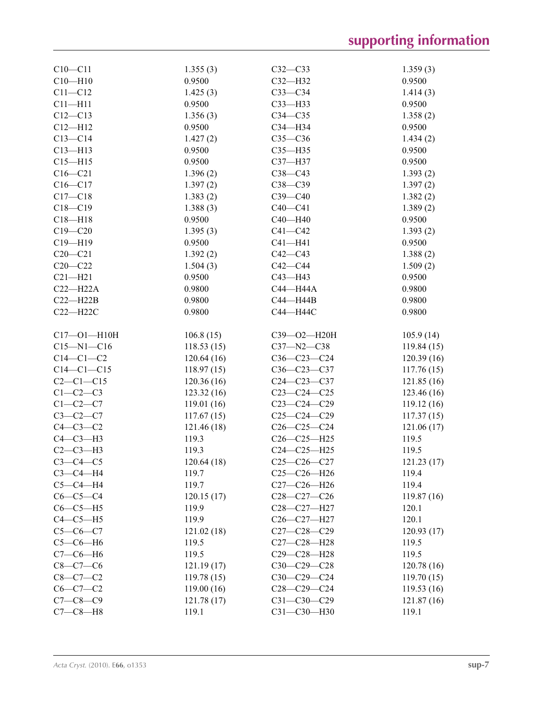| $C10 - C11$       | 1.355(3)   | $C32-C33$                                         | 1.359(3)    |
|-------------------|------------|---------------------------------------------------|-------------|
| $C10 - H10$       | 0.9500     | $C32-H32$                                         | 0.9500      |
| $C11 - C12$       | 1.425(3)   | $C33-C34$                                         | 1.414(3)    |
| $C11 - H11$       | 0.9500     | $C33$ -H33                                        | 0.9500      |
| $C12 - C13$       | 1.356(3)   | $C34 - C35$                                       | 1.358(2)    |
| $C12 - H12$       | 0.9500     | $C34 - H34$                                       | 0.9500      |
| $C13-C14$         | 1.427(2)   | $C35-C36$                                         | 1.434(2)    |
| $C13 - H13$       | 0.9500     | $C35 - H35$                                       | 0.9500      |
| $C15 - H15$       | 0.9500     | C37-H37                                           | 0.9500      |
| $C16-C21$         | 1.396(2)   | $C38-C43$                                         | 1.393(2)    |
| $C16 - C17$       | 1.397(2)   | $C38 - C39$                                       | 1.397(2)    |
| $C17 - C18$       | 1.383(2)   | $C39 - C40$                                       |             |
| $C18 - C19$       |            |                                                   | 1.382(2)    |
|                   | 1.388(3)   | $C40 - C41$                                       | 1.389(2)    |
| $C18 - H18$       | 0.9500     | $C40 - H40$                                       | 0.9500      |
| $C19 - C20$       | 1.395(3)   | $C41 - C42$                                       | 1.393(2)    |
| $C19 - H19$       | 0.9500     | $C41 - H41$                                       | 0.9500      |
| $C20 - C21$       | 1.392(2)   | $C42 - C43$                                       | 1.388(2)    |
| $C20 - C22$       | 1.504(3)   | $C42-C44$                                         | 1.509(2)    |
| $C21 - H21$       | 0.9500     | C43-H43                                           | 0.9500      |
| $C22-H22A$        | 0.9800     | C44-H44A                                          | 0.9800      |
| $C22 - H22B$      | 0.9800     | C44-H44B                                          | 0.9800      |
| $C22 - H22C$      | 0.9800     | C44-H44C                                          | 0.9800      |
|                   |            |                                                   |             |
| $C17 - O1 - H10H$ | 106.8(15)  | $C39 - O2 - H20H$                                 | 105.9(14)   |
| $C15 - N1 - C16$  | 118.53(15) | $C37 - N2 - C38$                                  | 119.84(15)  |
| $C14-C1-C2$       | 120.64(16) | $C36-C23-C24$                                     | 120.39(16)  |
| $C14-C1-C15$      | 118.97(15) | $C36 - C23 - C37$                                 | 117.76(15)  |
| $C2-C1-C15$       | 120.36(16) | $C24 - C23 - C37$                                 | 121.85(16)  |
| $C1-C2-C3$        | 123.32(16) | $C23-C24-C25$                                     | 123.46 (16) |
| $C1-C2-C7$        | 119.01(16) | $C23-C24-C29$                                     | 119.12(16)  |
| $C3 - C2 - C7$    | 117.67(15) | $C25-C24-C29$                                     | 117.37(15)  |
| $C4-C3-C2$        | 121.46(18) | $C26 - C25 - C24$                                 | 121.06(17)  |
| $C4-C3-H3$        | 119.3      | $C26 - C25 - H25$                                 | 119.5       |
| $C2-C3-H3$        | 119.3      | C24-C25-H25                                       | 119.5       |
| $C3-C4-C5$        | 120.64(18) | $C25-C26-C27$                                     | 121.23(17)  |
| $C3-C4-H4$        | 119.7      | $C25-C26-H26$                                     | 119.4       |
| $C5-C4-H4$        | 119.7      | C27-C26-H26                                       | 119.4       |
| $C6-C5-C4$        | 120.15(17) | $C28-C27-C26$                                     | 119.87(16)  |
| $C6-C5-H5$        | 119.9      | C <sub>28</sub> -C <sub>27</sub> -H <sub>27</sub> | 120.1       |
| $C4-C5-H5$        | 119.9      | C <sub>26</sub> -C <sub>27</sub> -H <sub>27</sub> | 120.1       |
| $C5 - C6 - C7$    | 121.02(18) | $C27-C28-C29$                                     | 120.93(17)  |
| $C5-C6-H6$        | 119.5      | C27-C28-H28                                       | 119.5       |
| $C7-C6-H6$        | 119.5      | C29-C28-H28                                       | 119.5       |
| $C8 - C7 - C6$    | 121.19(17) | $C30-C29-C28$                                     | 120.78(16)  |
| $C8 - C7 - C2$    |            |                                                   | 119.70(15)  |
|                   | 119.78(15) | $C30-C29-C24$                                     |             |
| $C6-C7-C2$        | 119.00(16) | $C28-C29-C24$                                     | 119.53(16)  |
| $C7 - C8 - C9$    | 121.78(17) | $C31 - C30 - C29$                                 | 121.87(16)  |
| $C7-C8-H8$        | 119.1      | C31-C30-H30                                       | 119.1       |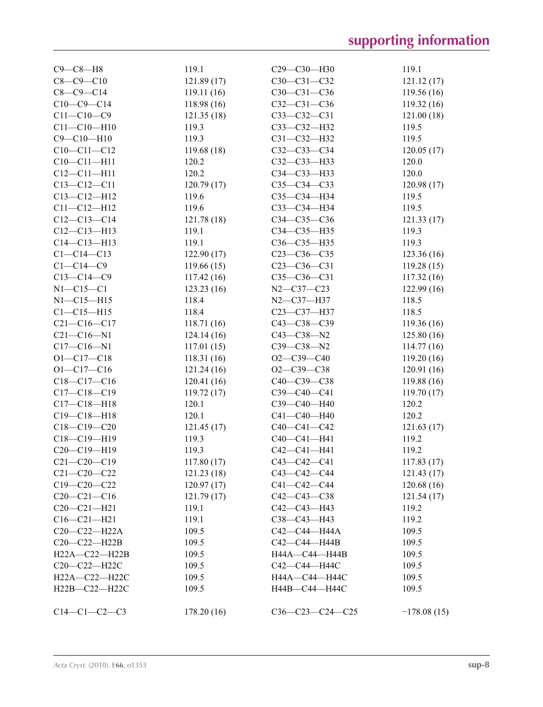| $C9 - C8 - H8$                         | 119.1       | C29-C30-H30                            | 119.1         |
|----------------------------------------|-------------|----------------------------------------|---------------|
| $C8 - C9 - C10$                        | 121.89(17)  | C30-C31-C32                            | 121.12 (17)   |
| $C8-C9-C14$                            | 119.11(16)  | C30-C31-C36                            | 119.56(16)    |
| $C10-C9-C14$                           | 118.98(16)  | $C32 - C31 - C36$                      | 119.32(16)    |
| $C11 - C10 - C9$                       | 121.35(18)  | $C33-C32-C31$                          | 121.00(18)    |
| $C11 - C10 - H10$                      | 119.3       | C33-C32-H32                            | 119.5         |
| $C9 - C10 - H10$                       | 119.3       | C31-C32-H32                            | 119.5         |
| $C10-C11-C12$                          | 119.68(18)  | $C32 - C33 - C34$                      | 120.05(17)    |
| $C10 - C11 - H11$                      | 120.2       | C32-C33-H33                            | 120.0         |
| $C12 - C11 - H11$                      | 120.2       | C34-C33-H33                            | 120.0         |
| $C13 - C12 - C11$                      | 120.79(17)  | $C35-C34-C33$                          | 120.98(17)    |
| $C13 - C12 - H12$                      | 119.6       | C35-C34-H34                            | 119.5         |
| $C11 - C12 - H12$                      | 119.6       | СЗЗ-СЗ4-НЗ4                            | 119.5         |
| $C12 - C13 - C14$                      | 121.78 (18) | C34-C35-C36                            | 121.33(17)    |
| $C12 - C13 - H13$                      | 119.1       | C34-C35-H35                            | 119.3         |
| $C14 - C13 - H13$                      | 119.1       | C36-C35-H35                            | 119.3         |
| $C1 - C14 - C13$                       | 122.90(17)  | $C23-C36-C35$                          | 123.36(16)    |
| $C1 - C14 - C9$                        | 119.66(15)  | $C23-C36-C31$                          | 119.28(15)    |
| $C13 - C14 - C9$                       | 117.42(16)  | $C35 - C36 - C31$                      | 117.32 (16)   |
| $N1 - C15 - C1$                        | 123.23(16)  | $N2 - C37 - C23$                       | 122.99(16)    |
| $N1 - C15 - H15$                       | 118.4       | $N2 - C37 - H37$                       | 118.5         |
| $C1 - C15 - H15$                       | 118.4       | C23-C37-H37                            | 118.5         |
| $C21 - C16 - C17$                      | 118.71(16)  | $C43 - C38 - C39$                      | 119.36(16)    |
| $C21 - C16 - N1$                       | 124.14(16)  | $C43 - C38 - N2$                       | 125.80(16)    |
| $C17 - C16 - N1$                       | 117.01(15)  | C39-C38-N2                             | 114.77(16)    |
| $O1 - C17 - C18$                       | 118.31(16)  | $O2-C39-C40$                           | 119.20(16)    |
| $O1 - C17 - C16$                       | 121.24(16)  | $O2 - C39 - C38$                       | 120.91(16)    |
| $C18-C17-C16$                          | 120.41(16)  | C40-C39-C38                            | 119.88 (16)   |
| $C17 - C18 - C19$                      | 119.72(17)  | C39-C40-C41                            | 119.70(17)    |
| $C17 - C18 - H18$                      | 120.1       | C39-C40-H40                            | 120.2         |
| $C19 - C18 - H18$                      | 120.1       | C41-C40-H40                            | 120.2         |
| $C18 - C19 - C20$                      | 121.45(17)  | $C40 - C41 - C42$                      | 121.63(17)    |
| C18-C19-H19                            | 119.3       | C40-C41-H41                            | 119.2         |
| $C20-C19-H19$                          | 119.3       | $C42 - C41 - H41$                      | 119.2         |
| $C21 - C20 - C19$                      | 117.80(17)  | $C43-C42-C41$                          | 117.83(17)    |
|                                        |             |                                        |               |
| $C21 - C20 - C22$<br>$C19 - C20 - C22$ | 121.23(18)  | $C43 - C42 - C44$                      | 121.43(17)    |
|                                        | 120.97(17)  | $C41 - C42 - C44$<br>$C42 - C43 - C38$ | 120.68(16)    |
| $C20-C21-C16$                          | 121.79(17)  | C42-C43-H43                            | 121.54(17)    |
| $C20 - C21 - H21$                      | 119.1       |                                        | 119.2         |
| $C16 - C21 - H21$                      | 119.1       | C38-C43-H43                            | 119.2         |
| $C20-C22-H22A$                         | 109.5       | C42-C44-H44A                           | 109.5         |
| C20-C22-H22B                           | 109.5       | C42-C44-H44B                           | 109.5         |
| H22A-C22-H22B                          | 109.5       | H44A-C44-H44B                          | 109.5         |
| C20-C22-H22C                           | 109.5       | C42-C44-H44C                           | 109.5         |
| H22A-C22-H22C                          | 109.5       | Н44А-С44-Н44С                          | 109.5         |
| H22B-C22-H22C                          | 109.5       | H44B-C44-H44C                          | 109.5         |
| $C14-C1-C2-C3$                         | 178.20(16)  | $C36-C23-C24-C25$                      | $-178.08(15)$ |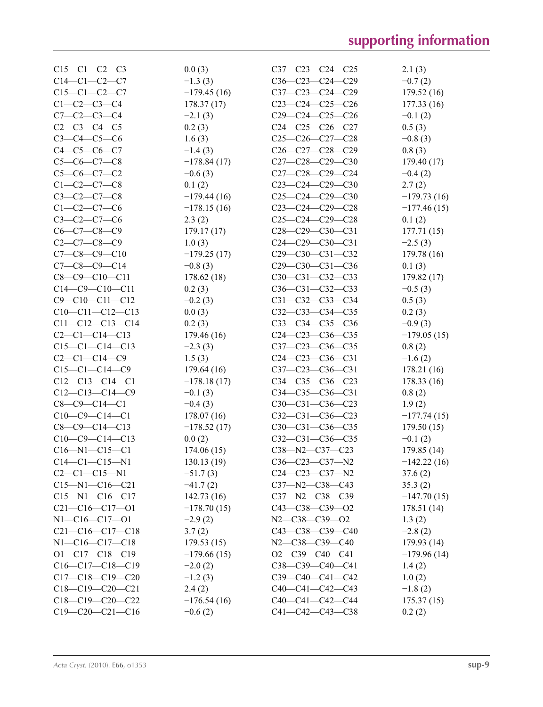| $C15-C1-C2-C3$         | 0.0(3)        | $C37 - C23 - C24 - C25$ | 2.1(3)        |
|------------------------|---------------|-------------------------|---------------|
| $C14-C1-C2-C7$         | $-1.3(3)$     | $C36-C23-C24-C29$       | $-0.7(2)$     |
| $C15-C1-C2-C7$         | $-179.45(16)$ | $C37-C23-C24-C29$       | 179.52 (16)   |
| $C1-C2-C3-C4$          | 178.37(17)    | $C23-C24-C25-C26$       | 177.33(16)    |
| $C7 - C2 - C3 - C4$    | $-2.1(3)$     | $C29-C24-C25-C26$       | $-0.1(2)$     |
| $C2 - C3 - C4 - C5$    | 0.2(3)        | $C24-C25-C26-C27$       | 0.5(3)        |
| $C3 - C4 - C5 - C6$    | 1.6(3)        | $C25-C26-C27-C28$       | $-0.8(3)$     |
| $C4 - C5 - C6 - C7$    | $-1.4(3)$     | C26-C27-C28-C29         | 0.8(3)        |
| $C5-C6-C7-C8$          | $-178.84(17)$ | $C27-C28-C29-C30$       | 179.40 (17)   |
| $C5-C6-C7-C2$          | $-0.6(3)$     | C27-C28-C29-C24         | $-0.4(2)$     |
| $C1 - C2 - C7 - C8$    | 0.1(2)        | $C23-C24-C29-C30$       |               |
|                        |               |                         | 2.7(2)        |
| $C3 - C2 - C7 - C8$    | $-179.44(16)$ | $C25-C24-C29-C30$       | $-179.73(16)$ |
| $C1 - C2 - C7 - C6$    | $-178.15(16)$ | $C23-C24-C29-C28$       | $-177.46(15)$ |
| $C3-C2-C7-C6$          | 2.3(2)        | C25-C24-C29-C28         | 0.1(2)        |
| $C6-C7-C8-C9$          | 179.17(17)    | C28-C29-C30-C31         | 177.71(15)    |
| $C2 - C7 - C8 - C9$    | 1.0(3)        | $C24-C29-C30-C31$       | $-2.5(3)$     |
| $C7 - C8 - C9 - C10$   | $-179.25(17)$ | $C29-C30-C31-C32$       | 179.78 (16)   |
| $C7 - C8 - C9 - C14$   | $-0.8(3)$     | $C29-C30-C31-C36$       | 0.1(3)        |
| $C8 - C9 - C10 - C11$  | 178.62(18)    | $C30-C31-C32-C33$       | 179.82 (17)   |
| $C14-C9-C10-C11$       | 0.2(3)        | $C36-C31-C32-C33$       | $-0.5(3)$     |
| $C9 - C10 - C11 - C12$ | $-0.2(3)$     | $C31 - C32 - C33 - C34$ | 0.5(3)        |
| $C10-C11-C12-C13$      | 0.0(3)        | $C32-C33-C34-C35$       | 0.2(3)        |
| $C11-C12-C13-C14$      | 0.2(3)        | $C33 - C34 - C35 - C36$ | $-0.9(3)$     |
| $C2 - C1 - C14 - C13$  | 179.46 (16)   | $C24-C23-C36-C35$       | $-179.05(15)$ |
| $C15-C1-C14-C13$       | $-2.3(3)$     | C37-C23-C36-C35         | 0.8(2)        |
| $C2-C1-C14-C9$         | 1.5(3)        | $C24-C23-C36-C31$       | $-1.6(2)$     |
| $C15-C1-C14-C9$        | 179.64(16)    | $C37-C23-C36-C31$       | 178.21 (16)   |
| $C12-C13-C14-C1$       | $-178.18(17)$ | $C34-C35-C36-C23$       | 178.33(16)    |
| $C12-C13-C14-C9$       | $-0.1(3)$     | $C34-C35-C36-C31$       | 0.8(2)        |
| $C8-C9-C14-C1$         | $-0.4(3)$     | $C30-C31-C36-C23$       | 1.9(2)        |
| $C10-C9-C14-C1$        | 178.07(16)    | $C32-C31-C36-C23$       | $-177.74(15)$ |
| $C8 - C9 - C14 - C13$  | $-178.52(17)$ | $C30-C31-C36-C35$       | 179.50(15)    |
| $C10-C9-C14-C13$       | 0.0(2)        | $C32-C31-C36-C35$       | $-0.1(2)$     |
| $C16 - N1 - C15 - C1$  | 174.06(15)    | $C38 - N2 - C37 - C23$  | 179.85 (14)   |
| $C14-C1-C15-N1$        | 130.13(19)    | C36-C23-C37-N2          | $-142.22(16)$ |
| $C2-C1-C15-N1$         | $-51.7(3)$    | $C24 - C23 - C37 - N2$  | 37.6(2)       |
| $C15 - N1 - C16 - C21$ | $-41.7(2)$    | $C37 - N2 - C38 - C43$  | 35.3(2)       |
| $C15 - N1 - C16 - C17$ | 142.73(16)    | $C37 - N2 - C38 - C39$  | $-147.70(15)$ |
| $C21-C16-C17-01$       | $-178.70(15)$ | $C43 - C38 - C39 - O2$  | 178.51(14)    |
| $N1 - C16 - C17 - 01$  |               |                         |               |
|                        | $-2.9(2)$     | N2-C38-C39-O2           | 1.3(2)        |
| $C21-C16-C17-C18$      | 3.7(2)        | $C43 - C38 - C39 - C40$ | $-2.8(2)$     |
| $N1 - C16 - C17 - C18$ | 179.53(15)    | $N2 - C38 - C39 - C40$  | 179.93(14)    |
| $O1 - C17 - C18 - C19$ | $-179.66(15)$ | $O2-C39-C40-C41$        | $-179.96(14)$ |
| $C16-C17-C18-C19$      | $-2.0(2)$     | $C38-C39-C40-C41$       | 1.4(2)        |
| $C17-C18-C19-C20$      | $-1.2(3)$     | $C39-C40-C41-C42$       | 1.0(2)        |
| $C18-C19-C20-C21$      | 2.4(2)        | $C40-C41-C42-C43$       | $-1.8(2)$     |
| $C18-C19-C20-C22$      | $-176.54(16)$ | $C40-C41-C42-C44$       | 175.37(15)    |
| $C19-C20-C21-C16$      | $-0.6(2)$     | $C41 - C42 - C43 - C38$ | 0.2(2)        |